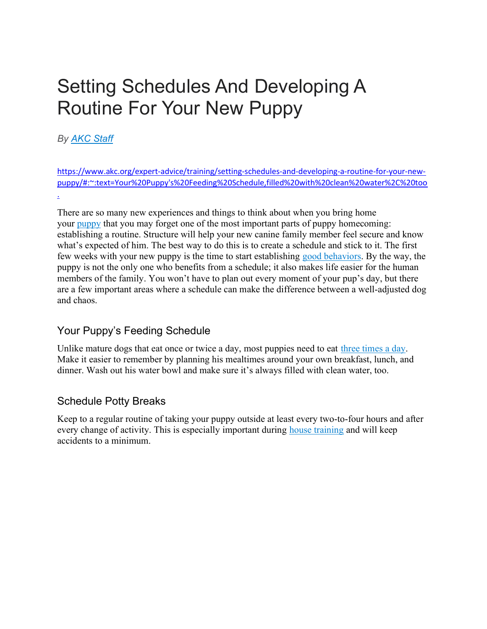## Setting Schedules And Developing A Routine For Your New Puppy

**By AKC Staff** 

https://www.akc.org/expert-advice/training/setting-schedules-and-developing-a-routine-for-your-newpuppy/#:~:text=Your%20Puppy's%20Feeding%20Schedule,filled%20with%20clean%20water%2C%20too .

There are so many new experiences and things to think about when you bring home your puppy that you may forget one of the most important parts of puppy homecoming: establishing a routine. Structure will help your new canine family member feel secure and know what's expected of him. The best way to do this is to create a schedule and stick to it. The first few weeks with your new puppy is the time to start establishing good behaviors. By the way, the puppy is not the only one who benefits from a schedule; it also makes life easier for the human members of the family. You won't have to plan out every moment of your pup's day, but there are a few important areas where a schedule can make the difference between a well-adjusted dog and chaos.

#### Your Puppy's Feeding Schedule

Unlike mature dogs that eat once or twice a day, most puppies need to eat three times a day. Make it easier to remember by planning his mealtimes around your own breakfast, lunch, and dinner. Wash out his water bowl and make sure it's always filled with clean water, too.

#### Schedule Potty Breaks

Keep to a regular routine of taking your puppy outside at least every two-to-four hours and after every change of activity. This is especially important during house training and will keep accidents to a minimum.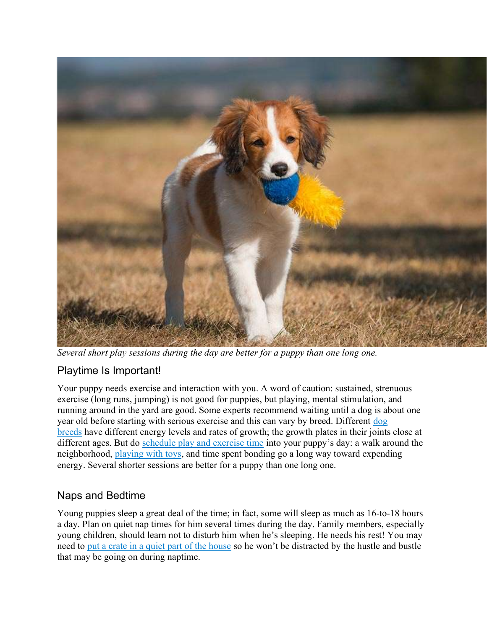

Several short play sessions during the day are better for a puppy than one long one.

#### Playtime Is Important!

Your puppy needs exercise and interaction with you. A word of caution: sustained, strenuous exercise (long runs, jumping) is not good for puppies, but playing, mental stimulation, and running around in the yard are good. Some experts recommend waiting until a dog is about one year old before starting with serious exercise and this can vary by breed. Different dog breeds have different energy levels and rates of growth; the growth plates in their joints close at different ages. But do schedule play and exercise time into your puppy's day: a walk around the neighborhood, playing with toys, and time spent bonding go a long way toward expending energy. Several shorter sessions are better for a puppy than one long one.

#### Naps and Bedtime

Young puppies sleep a great deal of the time; in fact, some will sleep as much as 16-to-18 hours a day. Plan on quiet nap times for him several times during the day. Family members, especially young children, should learn not to disturb him when he's sleeping. He needs his rest! You may need to put a crate in a quiet part of the house so he won't be distracted by the hustle and bustle that may be going on during naptime.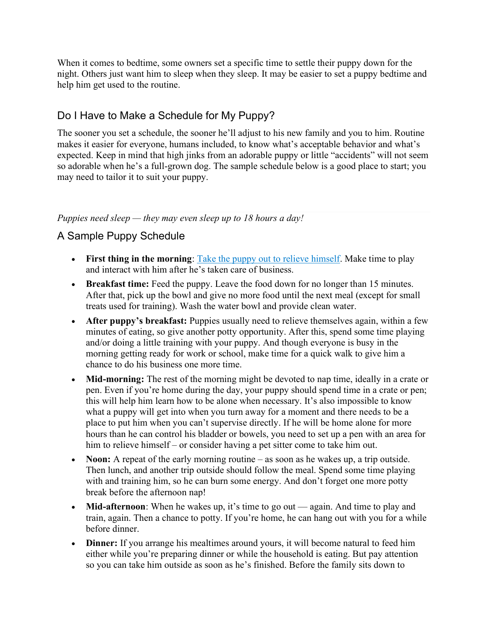When it comes to bedtime, some owners set a specific time to settle their puppy down for the night. Others just want him to sleep when they sleep. It may be easier to set a puppy bedtime and help him get used to the routine.

#### Do I Have to Make a Schedule for My Puppy?

The sooner you set a schedule, the sooner he'll adjust to his new family and you to him. Routine makes it easier for everyone, humans included, to know what's acceptable behavior and what's expected. Keep in mind that high jinks from an adorable puppy or little "accidents" will not seem so adorable when he's a full-grown dog. The sample schedule below is a good place to start; you may need to tailor it to suit your puppy.

Puppies need sleep — they may even sleep up to 18 hours a day!

#### A Sample Puppy Schedule

- First thing in the morning: Take the puppy out to relieve himself. Make time to play and interact with him after he's taken care of business.
- Breakfast time: Feed the puppy. Leave the food down for no longer than 15 minutes. After that, pick up the bowl and give no more food until the next meal (except for small treats used for training). Wash the water bowl and provide clean water.
- After puppy's breakfast: Puppies usually need to relieve themselves again, within a few minutes of eating, so give another potty opportunity. After this, spend some time playing and/or doing a little training with your puppy. And though everyone is busy in the morning getting ready for work or school, make time for a quick walk to give him a chance to do his business one more time.
- Mid-morning: The rest of the morning might be devoted to nap time, ideally in a crate or pen. Even if you're home during the day, your puppy should spend time in a crate or pen; this will help him learn how to be alone when necessary. It's also impossible to know what a puppy will get into when you turn away for a moment and there needs to be a place to put him when you can't supervise directly. If he will be home alone for more hours than he can control his bladder or bowels, you need to set up a pen with an area for him to relieve himself – or consider having a pet sitter come to take him out.
- Noon: A repeat of the early morning routine as soon as he wakes up, a trip outside. Then lunch, and another trip outside should follow the meal. Spend some time playing with and training him, so he can burn some energy. And don't forget one more potty break before the afternoon nap!
- Mid-afternoon: When he wakes up, it's time to go out again. And time to play and train, again. Then a chance to potty. If you're home, he can hang out with you for a while before dinner.
- Dinner: If you arrange his mealtimes around yours, it will become natural to feed him either while you're preparing dinner or while the household is eating. But pay attention so you can take him outside as soon as he's finished. Before the family sits down to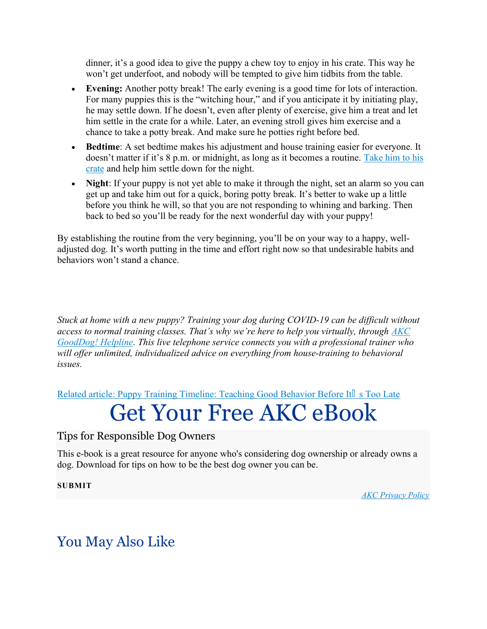dinner, it's a good idea to give the puppy a chew toy to enjoy in his crate. This way he won't get underfoot, and nobody will be tempted to give him tidbits from the table.

- Evening: Another potty break! The early evening is a good time for lots of interaction. For many puppies this is the "witching hour," and if you anticipate it by initiating play, he may settle down. If he doesn't, even after plenty of exercise, give him a treat and let him settle in the crate for a while. Later, an evening stroll gives him exercise and a chance to take a potty break. And make sure he potties right before bed.
- Bedtime: A set bedtime makes his adjustment and house training easier for everyone. It doesn't matter if it's 8 p.m. or midnight, as long as it becomes a routine. Take him to his crate and help him settle down for the night.
- Night: If your puppy is not yet able to make it through the night, set an alarm so you can get up and take him out for a quick, boring potty break. It's better to wake up a little before you think he will, so that you are not responding to whining and barking. Then back to bed so you'll be ready for the next wonderful day with your puppy!

By establishing the routine from the very beginning, you'll be on your way to a happy, welladjusted dog. It's worth putting in the time and effort right now so that undesirable habits and behaviors won't stand a chance.

Stuck at home with a new puppy? Training your dog during COVID-19 can be difficult without access to normal training classes. That's why we're here to help you virtually, through AKC GoodDog! Helpline. This live telephone service connects you with a professional trainer who will offer unlimited, individualized advice on everything from house-training to behavioral issues.

Related article: Puppy Training Timeline: Teaching Good Behavior Before It s Too Late

# Get Your Free AKC eBook

#### Tips for Responsible Dog Owners

This e-book is a great resource for anyone who's considering dog ownership or already owns a dog. Download for tips on how to be the best dog owner you can be.

SUBMIT

AKC Privacy Policy

### You May Also Like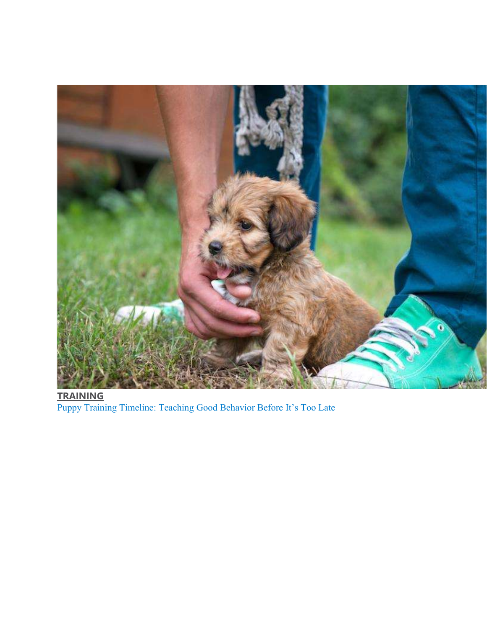

TRAINING Puppy Training Timeline: Teaching Good Behavior Before It's Too Late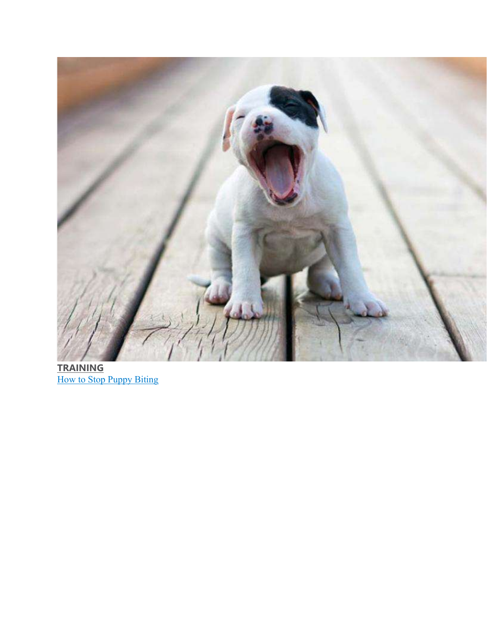

TRAINING How to Stop Puppy Biting